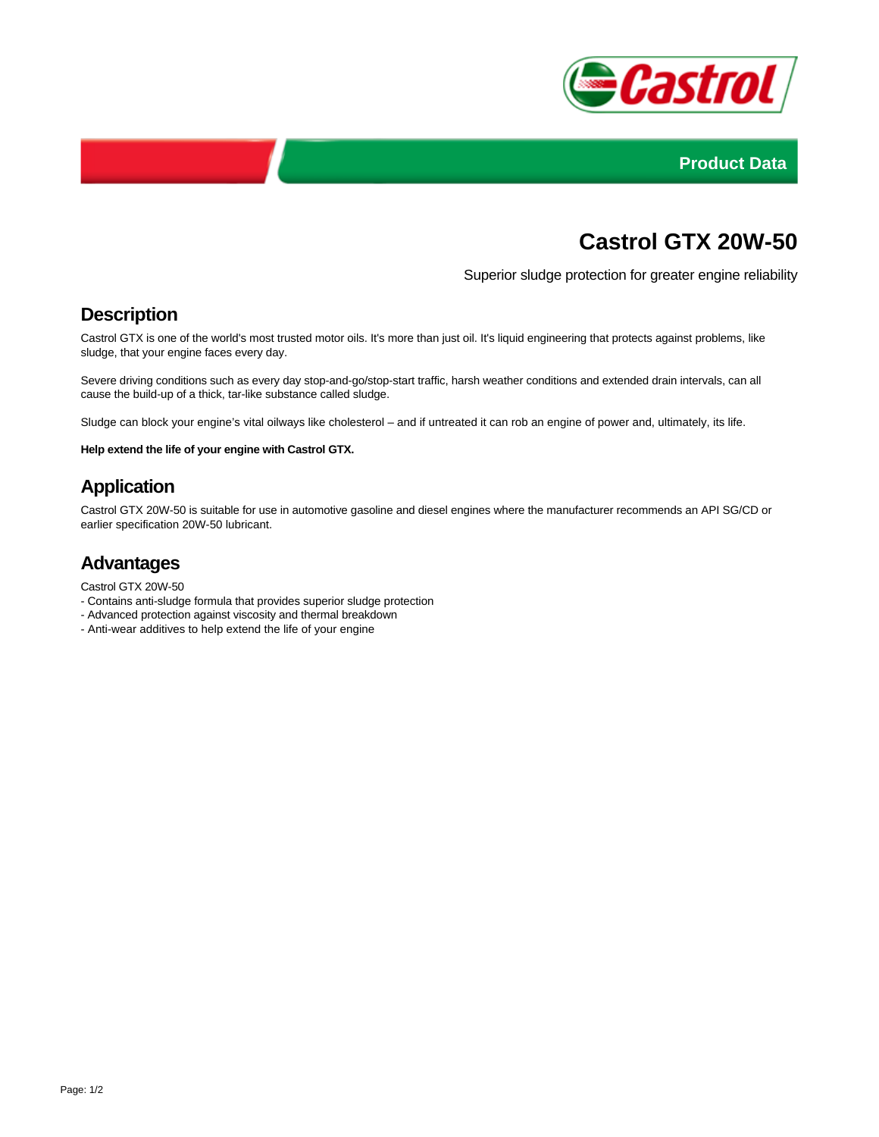



# **Castrol GTX 20W-50**

Superior sludge protection for greater engine reliability

#### **Description**

Castrol GTX is one of the world's most trusted motor oils. It's more than just oil. It's liquid engineering that protects against problems, like sludge, that your engine faces every day.

Severe driving conditions such as every day stop-and-go/stop-start traffic, harsh weather conditions and extended drain intervals, can all cause the build-up of a thick, tar-like substance called sludge.

Sludge can block your engine's vital oilways like cholesterol – and if untreated it can rob an engine of power and, ultimately, its life.

**Help extend the life of your engine with Castrol GTX.**

# **Application**

Castrol GTX 20W-50 is suitable for use in automotive gasoline and diesel engines where the manufacturer recommends an API SG/CD or earlier specification 20W-50 lubricant.

### **Advantages**

- Castrol GTX 20W-50
- Contains anti-sludge formula that provides superior sludge protection
- Advanced protection against viscosity and thermal breakdown
- Anti-wear additives to help extend the life of your engine